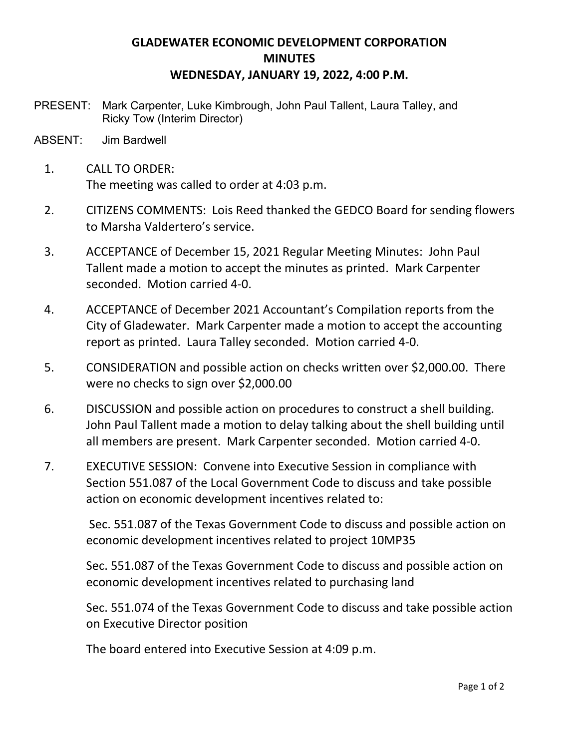## **GLADEWATER ECONOMIC DEVELOPMENT CORPORATION MINUTES WEDNESDAY, JANUARY 19, 2022, 4:00 P.M.**

- PRESENT: Mark Carpenter, Luke Kimbrough, John Paul Tallent, Laura Talley, and Ricky Tow (Interim Director)
- ABSENT: Jim Bardwell
	- 1. CALL TO ORDER: The meeting was called to order at 4:03 p.m.
	- 2. CITIZENS COMMENTS: Lois Reed thanked the GEDCO Board for sending flowers to Marsha Valdertero's service.
	- 3. ACCEPTANCE of December 15, 2021 Regular Meeting Minutes: John Paul Tallent made a motion to accept the minutes as printed. Mark Carpenter seconded. Motion carried 4-0.
	- 4. ACCEPTANCE of December 2021 Accountant's Compilation reports from the City of Gladewater. Mark Carpenter made a motion to accept the accounting report as printed. Laura Talley seconded. Motion carried 4-0.
	- 5. CONSIDERATION and possible action on checks written over \$2,000.00. There were no checks to sign over \$2,000.00
	- 6. DISCUSSION and possible action on procedures to construct a shell building. John Paul Tallent made a motion to delay talking about the shell building until all members are present. Mark Carpenter seconded. Motion carried 4-0.
	- 7. EXECUTIVE SESSION: Convene into Executive Session in compliance with Section 551.087 of the Local Government Code to discuss and take possible action on economic development incentives related to:

Sec. 551.087 of the Texas Government Code to discuss and possible action on economic development incentives related to project 10MP35

Sec. 551.087 of the Texas Government Code to discuss and possible action on economic development incentives related to purchasing land

Sec. 551.074 of the Texas Government Code to discuss and take possible action on Executive Director position

The board entered into Executive Session at 4:09 p.m.